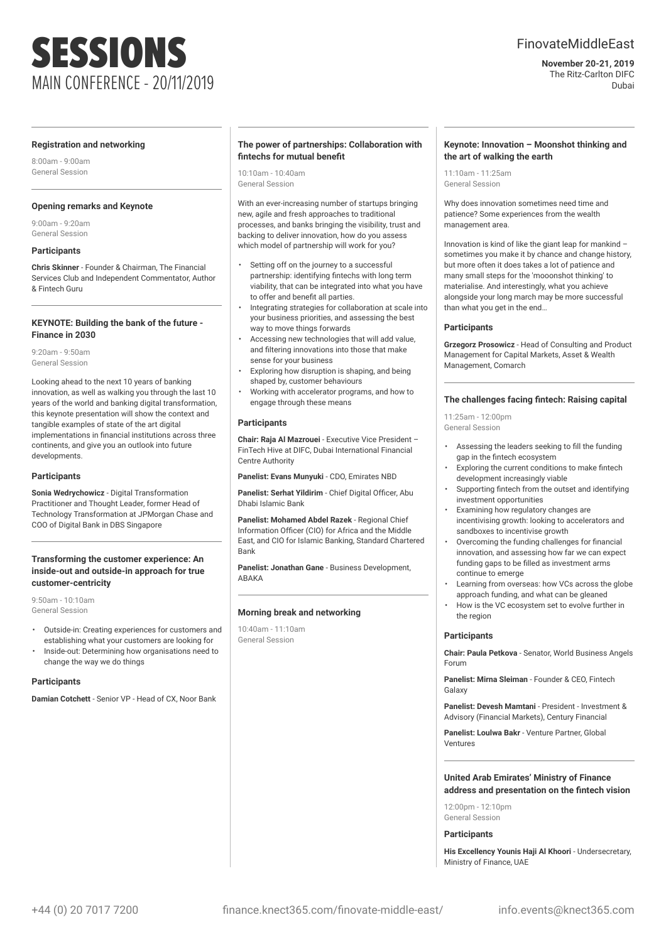# SESSIONS MAIN CONFERENCE - 20/11/2019

# FinovateMiddleEast

**November 20-21, 2019** The Ritz-Carlton DIFC Dubai

#### **Registration and networking**

8:00am - 9:00am General Session

#### **Opening remarks and Keynote**

9:00am - 9:20am General Session

### **Participants**

**Chris Skinner** - Founder & Chairman, The Financial Services Club and Independent Commentator, Author & Fintech Guru

#### **KEYNOTE: Building the bank of the future - Finance in 2030**

9:20am - 9:50am General Session

Looking ahead to the next 10 years of banking innovation, as well as walking you through the last 10 years of the world and banking digital transformation, this keynote presentation will show the context and tangible examples of state of the art digital implementations in financial institutions across three continents, and give you an outlook into future developments.

#### **Participants**

**Sonia Wedrychowicz** - Digital Transformation Practitioner and Thought Leader, former Head of Technology Transformation at JPMorgan Chase and COO of Digital Bank in DBS Singapore

# **Transforming the customer experience: An inside-out and outside-in approach for true customer-centricity**

9:50am - 10:10am General Session

- Outside-in: Creating experiences for customers and establishing what your customers are looking for
- Inside-out: Determining how organisations need to change the way we do things

# **Participants**

**Damian Cotchett** - Senior VP - Head of CX, Noor Bank

# **The power of partnerships: Collaboration with fintechs for mutual benefit**

10:10am - 10:40am General Session

With an ever-increasing number of startups bringing new, agile and fresh approaches to traditional processes, and banks bringing the visibility, trust and backing to deliver innovation, how do you assess which model of partnership will work for you?

- Setting off on the journey to a successful partnership: identifying fintechs with long term viability, that can be integrated into what you have to offer and benefit all parties.
- Integrating strategies for collaboration at scale into your business priorities, and assessing the best way to move things forwards
- Accessing new technologies that will add value, and filtering innovations into those that make sense for your business
- Exploring how disruption is shaping, and being shaped by, customer behaviours
- Working with accelerator programs, and how to engage through these means

#### **Participants**

**Chair: Raja Al Mazrouei** - Executive Vice President – FinTech Hive at DIFC, Dubai International Financial Centre Authority

**Panelist: Evans Munyuki** - CDO, Emirates NBD

**Panelist: Serhat Yildirim** - Chief Digital Officer, Abu Dhabi Islamic Bank

**Panelist: Mohamed Abdel Razek** - Regional Chief Information Officer (CIO) for Africa and the Middle East, and CIO for Islamic Banking, Standard Chartered Bank

**Panelist: Jonathan Gane** - Business Development, ABAKA

#### **Morning break and networking**

10:40am - 11:10am General Session

# **Keynote: Innovation – Moonshot thinking and the art of walking the earth**

11:10am - 11:25am General Session

Why does innovation sometimes need time and patience? Some experiences from the wealth management area.

Innovation is kind of like the giant leap for mankind – sometimes you make it by chance and change history, but more often it does takes a lot of patience and many small steps for the 'mooonshot thinking' to materialise. And interestingly, what you achieve alongside your long march may be more successful than what you get in the end…

#### **Participants**

**Grzegorz Prosowicz** - Head of Consulting and Product Management for Capital Markets, Asset & Wealth Management, Comarch

# **The challenges facing fintech: Raising capital**

11:25am - 12:00pm General Session

- Assessing the leaders seeking to fill the funding gap in the fintech ecosystem
- Exploring the current conditions to make fintech development increasingly viable
- Supporting fintech from the outset and identifying investment opportunities
- Examining how regulatory changes are incentivising growth: looking to accelerators and sandboxes to incentivise growth
- Overcoming the funding challenges for financial innovation, and assessing how far we can expect funding gaps to be filled as investment arms continue to emerge
- Learning from overseas: how VCs across the globe approach funding, and what can be gleaned
- How is the VC ecosystem set to evolve further in the region

#### **Participants**

**Chair: Paula Petkova** - Senator, World Business Angels Forum

**Panelist: Mirna Sleiman** - Founder & CEO, Fintech Galaxy

**Panelist: Devesh Mamtani** - President - Investment & Advisory (Financial Markets), Century Financial

**Panelist: Loulwa Bakr** - Venture Partner, Global Ventures

# **United Arab Emirates' Ministry of Finance address and presentation on the fintech vision**

12:00pm - 12:10pm General Session

### **Participants**

**His Excellency Younis Haji Al Khoori** - Undersecretary, Ministry of Finance, UAE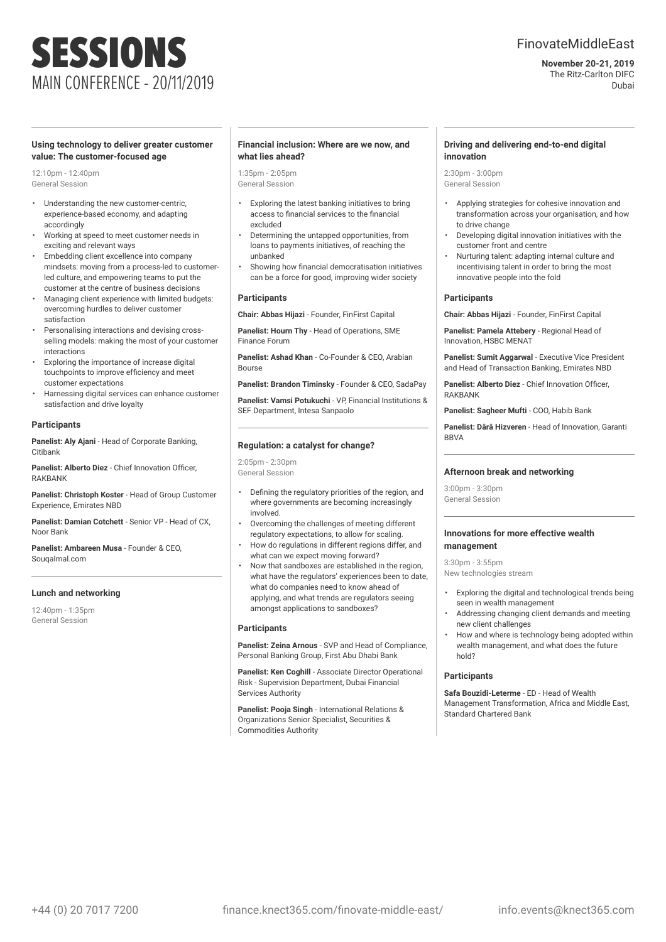# SESSIONS MAIN CONFERENCE - 20/11/2019

# FinovateMiddleEast

**November 20-21, 2019** The Ritz-Carlton DIFC Dubai

# **Using technology to deliver greater customer value: The customer-focused age**

12:10pm - 12:40pm General Session

- Understanding the new customer-centric, experience-based economy, and adapting accordingly
- Working at speed to meet customer needs in exciting and relevant ways
- Embedding client excellence into company mindsets: moving from a process-led to customerled culture, and empowering teams to put the customer at the centre of business decisions
- Managing client experience with limited budgets: overcoming hurdles to deliver customer satisfaction
- Personalising interactions and devising crossselling models: making the most of your customer interactions
- Exploring the importance of increase digital touchpoints to improve efficiency and meet customer expectations
- Harnessing digital services can enhance customer satisfaction and drive loyalty

# **Participants**

**Panelist: Aly Ajani** - Head of Corporate Banking, Citibank

**Panelist: Alberto Diez** - Chief Innovation Officer, RAKBANK

**Panelist: Christoph Koster** - Head of Group Customer Experience, Emirates NBD

**Panelist: Damian Cotchett** - Senior VP - Head of CX, Noor Bank

**Panelist: Ambareen Musa** - Founder & CEO, Souqalmal.com

# **Lunch and networking**

12:40pm - 1:35pm General Session

# **Financial inclusion: Where are we now, and what lies ahead?**

1:35pm - 2:05pm General Session

- Exploring the latest banking initiatives to bring access to financial services to the financial excluded
- Determining the untapped opportunities, from loans to payments initiatives, of reaching the unbanked
- Showing how financial democratisation initiatives can be a force for good, improving wider society

# **Participants**

**Chair: Abbas Hijazi** - Founder, FinFirst Capital

**Panelist: Hourn Thy** - Head of Operations, SME Finance Forum

**Panelist: Ashad Khan** - Co-Founder & CEO, Arabian Bourse

**Panelist: Brandon Timinsky** - Founder & CEO, SadaPay

**Panelist: Vamsi Potukuchi** - VP, Financial Institutions & SEF Department, Intesa Sanpaolo

# **Regulation: a catalyst for change?**

 $2.05$ pm -  $2.30$ pm General Session

- Defining the regulatory priorities of the region, and where governments are becoming increasingly involved.
- Overcoming the challenges of meeting different regulatory expectations, to allow for scaling.
- How do regulations in different regions differ, and what can we expect moving forward?
- Now that sandboxes are established in the region, what have the regulators' experiences been to date, what do companies need to know ahead of applying, and what trends are regulators seeing amongst applications to sandboxes?

# **Participants**

**Panelist: Zeina Arnous** - SVP and Head of Compliance, Personal Banking Group, First Abu Dhabi Bank

**Panelist: Ken Coghill** - Associate Director Operational Risk - Supervision Department, Dubai Financial Services Authority

**Panelist: Pooja Singh** - International Relations & Organizations Senior Specialist, Securities & Commodities Authority

#### **Driving and delivering end-to-end digital innovation**

2:30pm - 3:00pm General Session

- Applying strategies for cohesive innovation and transformation across your organisation, and how to drive change
- Developing digital innovation initiatives with the customer front and centre
- Nurturing talent: adapting internal culture and incentivising talent in order to bring the most innovative people into the fold

# **Participants**

**Chair: Abbas Hijazi** - Founder, FinFirst Capital

**Panelist: Pamela Attebery** - Regional Head of Innovation, HSBC MENAT

**Panelist: Sumit Aggarwal** - Executive Vice President and Head of Transaction Banking, Emirates NBD

**Panelist: Alberto Diez** - Chief Innovation Officer, **RAKRANK** 

**Panelist: Sagheer Mufti** - COO, Habib Bank

**Panelist: Dârâ Hizveren** - Head of Innovation, Garanti BBVA

# **Afternoon break and networking**

 $3:00$ pm -  $3:30$ nm General Session

#### **Innovations for more effective wealth management**

3:30pm - 3:55pm New technologies stream

- Exploring the digital and technological trends being seen in wealth management
- Addressing changing client demands and meeting new client challenges
- How and where is technology being adopted within wealth management, and what does the future hold?

#### **Participants**

**Safa Bouzidi-Leterme** - ED - Head of Wealth Management Transformation, Africa and Middle East, Standard Chartered Bank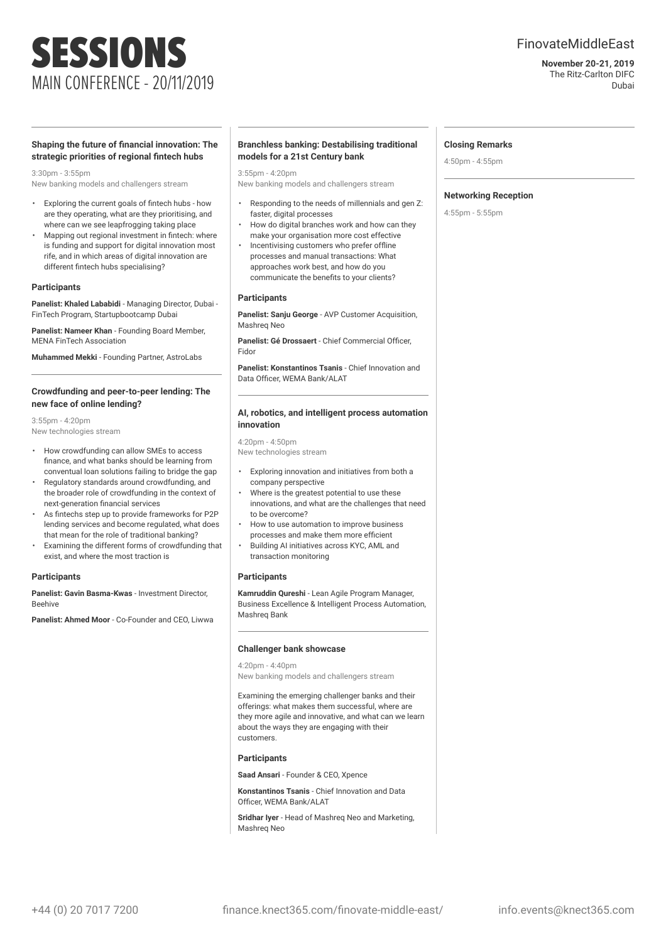# FinovateMiddleEast

**November 20-21, 2019** The Ritz-Carlton DIFC Dubai

# **Shaping the future of financial innovation: The strategic priorities of regional fintech hubs**

MAIN CONFERENCE - 20/11/2019

# 3:30pm - 3:55pm

New banking models and challengers stream

SESSIONS

- Exploring the current goals of fintech hubs how are they operating, what are they prioritising, and where can we see leapfrogging taking place
- Mapping out regional investment in fintech: where is funding and support for digital innovation most rife, and in which areas of digital innovation are different fintech hubs specialising?

# **Participants**

**Panelist: Khaled Lababidi** - Managing Director, Dubai - FinTech Program, Startupbootcamp Dubai

**Panelist: Nameer Khan** - Founding Board Member, MENA FinTech Association

**Muhammed Mekki** - Founding Partner, AstroLabs

# **Crowdfunding and peer-to-peer lending: The new face of online lending?**

3:55pm - 4:20pm New technologies stream

- How crowdfunding can allow SMEs to access finance, and what banks should be learning from conventual loan solutions failing to bridge the gap
- Regulatory standards around crowdfunding, and the broader role of crowdfunding in the context of next-generation financial services
- As fintechs step up to provide frameworks for P2P lending services and become regulated, what does that mean for the role of traditional banking?
- Examining the different forms of crowdfunding that exist, and where the most traction is

#### **Participants**

**Panelist: Gavin Basma-Kwas** - Investment Director, Beehive

**Panelist: Ahmed Moor** - Co-Founder and CEO, Liwwa

### **Branchless banking: Destabilising traditional models for a 21st Century bank**

3:55pm - 4:20pm

New banking models and challengers stream

- Responding to the needs of millennials and gen Z: faster, digital processes
- How do digital branches work and how can they make your organisation more cost effective
- Incentivising customers who prefer offline processes and manual transactions: What approaches work best, and how do you communicate the benefits to your clients?

#### **Participants**

**Panelist: Sanju George** - AVP Customer Acquisition, Mashreq Neo

**Panelist: Gé Drossaert** - Chief Commercial Officer, Fidor

**Panelist: Konstantinos Tsanis** - Chief Innovation and Data Officer, WEMA Bank/ALAT

#### **AI, robotics, and intelligent process automation innovation**

4:20pm - 4:50pm New technologies stream

- Exploring innovation and initiatives from both a company perspective
- Where is the greatest potential to use these innovations, and what are the challenges that need to be overcome?
- How to use automation to improve business processes and make them more efficient
- Building AI initiatives across KYC, AML and transaction monitoring

#### **Participants**

**Kamruddin Qureshi** - Lean Agile Program Manager, Business Excellence & Intelligent Process Automation, Mashreq Bank

#### **Challenger bank showcase**

4:20pm - 4:40pm

Examining the emerging challenger banks and their offerings: what makes them successful, where are they more agile and innovative, and what can we learn about the ways they are engaging with their customers.

#### **Participants**

**Saad Ansari** - Founder & CEO, Xpence

**Konstantinos Tsanis** - Chief Innovation and Data Officer, WEMA Bank/ALAT

**Sridhar Iyer** - Head of Mashreq Neo and Marketing, Mashreq Neo

### **Closing Remarks**

4:50pm - 4:55pm

#### **Networking Reception**

4:55pm - 5:55pm

New banking models and challengers stream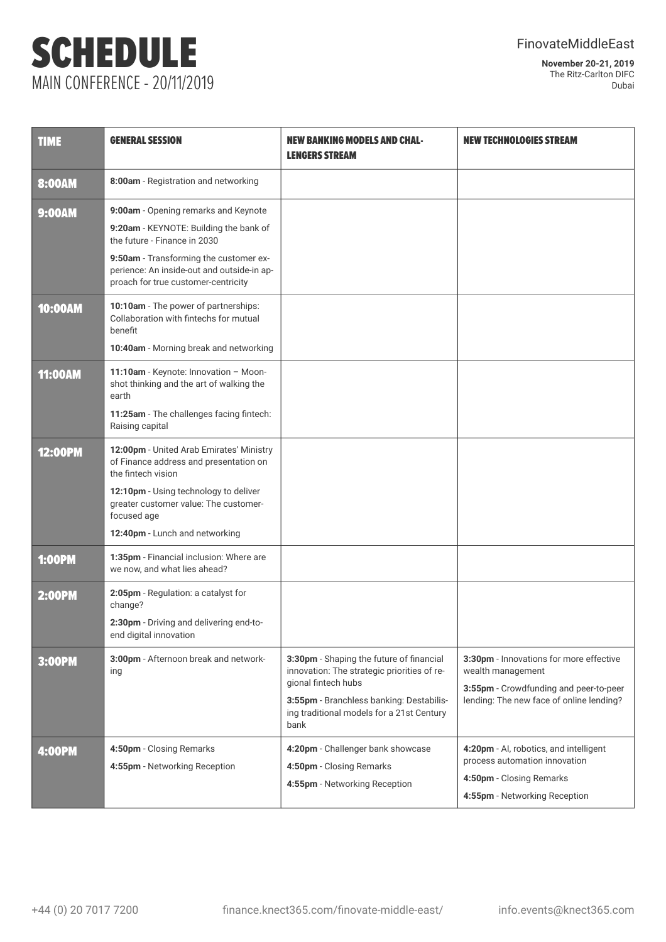# SCHEDULE MAIN CONFERENCE - 20/11/2019

**November 20-21, 2019** The Ritz-Carlton DIFC Dubai

| <b>TIME</b>    | <b>GENERAL SESSION</b>                                                                                                                                                                                                                        | <b>NEW BANKING MODELS AND CHAL-</b><br><b>LENGERS STREAM</b>                                                                                                                                                    | <b>NEW TECHNOLOGIES STREAM</b>                                                                                                                     |
|----------------|-----------------------------------------------------------------------------------------------------------------------------------------------------------------------------------------------------------------------------------------------|-----------------------------------------------------------------------------------------------------------------------------------------------------------------------------------------------------------------|----------------------------------------------------------------------------------------------------------------------------------------------------|
| <b>8:00AM</b>  | 8:00am - Registration and networking                                                                                                                                                                                                          |                                                                                                                                                                                                                 |                                                                                                                                                    |
| <b>9:00AM</b>  | 9:00am - Opening remarks and Keynote<br>9:20am - KEYNOTE: Building the bank of<br>the future - Finance in 2030<br>9:50am - Transforming the customer ex-<br>perience: An inside-out and outside-in ap-<br>proach for true customer-centricity |                                                                                                                                                                                                                 |                                                                                                                                                    |
| <b>10:00AM</b> | 10:10am - The power of partnerships:<br>Collaboration with fintechs for mutual<br>benefit<br>10:40am - Morning break and networking                                                                                                           |                                                                                                                                                                                                                 |                                                                                                                                                    |
| <b>11:00AM</b> | 11:10am - Keynote: Innovation - Moon-<br>shot thinking and the art of walking the<br>earth<br>11:25am - The challenges facing fintech:<br>Raising capital                                                                                     |                                                                                                                                                                                                                 |                                                                                                                                                    |
| <b>12:00PM</b> | 12:00pm - United Arab Emirates' Ministry<br>of Finance address and presentation on<br>the fintech vision<br>12:10pm - Using technology to deliver<br>greater customer value: The customer-<br>focused age<br>12:40pm - Lunch and networking   |                                                                                                                                                                                                                 |                                                                                                                                                    |
| <b>1:00PM</b>  | 1:35pm - Financial inclusion: Where are<br>we now, and what lies ahead?                                                                                                                                                                       |                                                                                                                                                                                                                 |                                                                                                                                                    |
| <b>2:00PM</b>  | 2:05pm - Regulation: a catalyst for<br>change?<br>2:30pm - Driving and delivering end-to-<br>end digital innovation                                                                                                                           |                                                                                                                                                                                                                 |                                                                                                                                                    |
| 3:00PM         | 3:00pm - Afternoon break and network-<br>ing                                                                                                                                                                                                  | 3:30pm - Shaping the future of financial<br>innovation: The strategic priorities of re-<br>gional fintech hubs<br>3:55pm - Branchless banking: Destabilis-<br>ing traditional models for a 21st Century<br>bank | 3:30pm - Innovations for more effective<br>wealth management<br>3:55pm - Crowdfunding and peer-to-peer<br>lending: The new face of online lending? |
| <b>4:00PM</b>  | 4:50pm - Closing Remarks<br>4:55pm - Networking Reception                                                                                                                                                                                     | 4:20pm - Challenger bank showcase<br>4:50pm - Closing Remarks<br>4:55pm - Networking Reception                                                                                                                  | 4:20pm - Al, robotics, and intelligent<br>process automation innovation<br>4:50pm - Closing Remarks<br>4:55pm - Networking Reception               |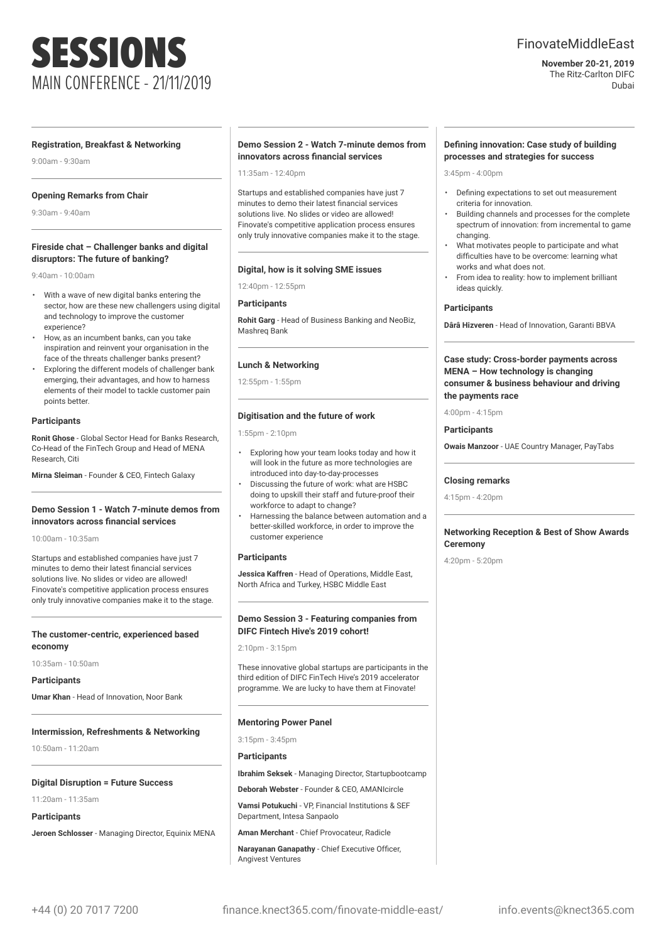# SESSIONS MAIN CONFERENCE - 21/11/2019

# FinovateMiddleEast

### **November 20-21, 2019** The Ritz-Carlton DIFC Dubai

#### **Registration, Breakfast & Networking**

9:00am - 9:30am

# **Opening Remarks from Chair**

9:30am - 9:40am

# **Fireside chat – Challenger banks and digital disruptors: The future of banking?**

9:40am - 10:00am

- With a wave of new digital banks entering the sector, how are these new challengers using digital and technology to improve the customer experience?
- How, as an incumbent banks, can you take inspiration and reinvent your organisation in the face of the threats challenger banks present?
- Exploring the different models of challenger bank emerging, their advantages, and how to harness elements of their model to tackle customer pain points better.

#### **Participants**

**Ronit Ghose** - Global Sector Head for Banks Research, Co-Head of the FinTech Group and Head of MENA Research, Citi

**Mirna Sleiman** - Founder & CEO, Fintech Galaxy

# **Demo Session 1 - Watch 7-minute demos from innovators across financial services**

10:00am - 10:35am

Startups and established companies have just 7 minutes to demo their latest financial services solutions live. No slides or video are allowed! Finovate's competitive application process ensures only truly innovative companies make it to the stage.

# **The customer-centric, experienced based economy**

10:35am - 10:50am

**Participants**

**Umar Khan** - Head of Innovation, Noor Bank

### **Intermission, Refreshments & Networking**

10:50am - 11:20am

#### **Digital Disruption = Future Success**

11:20am - 11:35am

**Participants**

**Jeroen Schlosser** - Managing Director, Equinix MENA

# **Demo Session 2 - Watch 7-minute demos from innovators across financial services**

 $11:35$ am -  $12:40$ nm

Startups and established companies have just 7 minutes to demo their latest financial services solutions live. No slides or video are allowed! Finovate's competitive application process ensures only truly innovative companies make it to the stage.

### **Digital, how is it solving SME issues**

12:40pm - 12:55pm

#### **Participants**

**Rohit Garg** - Head of Business Banking and NeoBiz, Mashreq Bank

### **Lunch & Networking**

12:55pm - 1:55pm

#### **Digitisation and the future of work**

1:55pm - 2:10pm

- Exploring how your team looks today and how it will look in the future as more technologies are introduced into day-to-day-processes
- Discussing the future of work: what are HSBC doing to upskill their staff and future-proof their workforce to adapt to change?
- Harnessing the balance between automation and a better-skilled workforce, in order to improve the customer experience

#### **Participants**

**Jessica Kaffren** - Head of Operations, Middle East, North Africa and Turkey, HSBC Middle East

# **Demo Session 3 - Featuring companies from DIFC Fintech Hive's 2019 cohort!**

 $2.10$ pm -  $3.15$ pm

These innovative global startups are participants in the third edition of DIFC FinTech Hive's 2019 accelerator programme. We are lucky to have them at Finovate!

#### **Mentoring Power Panel**

3:15pm - 3:45pm

#### **Participants**

**Ibrahim Seksek** - Managing Director, Startupbootcamp

**Deborah Webster** - Founder & CEO, AMANIcircle

**Vamsi Potukuchi** - VP, Financial Institutions & SEF Department, Intesa Sanpaolo

**Aman Merchant** - Chief Provocateur, Radicle

**Narayanan Ganapathy** - Chief Executive Officer, Angivest Ventures

# **Defining innovation: Case study of building processes and strategies for success**

3:45pm - 4:00pm

- Defining expectations to set out measurement criteria for innovation.
- Building channels and processes for the complete spectrum of innovation: from incremental to game changing.
- What motivates people to participate and what difficulties have to be overcome: learning what works and what does not.
- From idea to reality: how to implement brilliant ideas quickly.

# **Participants**

**Dârâ Hizveren** - Head of Innovation, Garanti BBVA

# **Case study: Cross-border payments across MENA – How technology is changing consumer & business behaviour and driving the payments race**

4:00pm - 4:15pm

#### **Participants**

**Owais Manzoor** - UAE Country Manager, PayTabs

#### **Closing remarks**

4:15pm - 4:20pm

# **Networking Reception & Best of Show Awards Ceremony**

4:20pm - 5:20pm